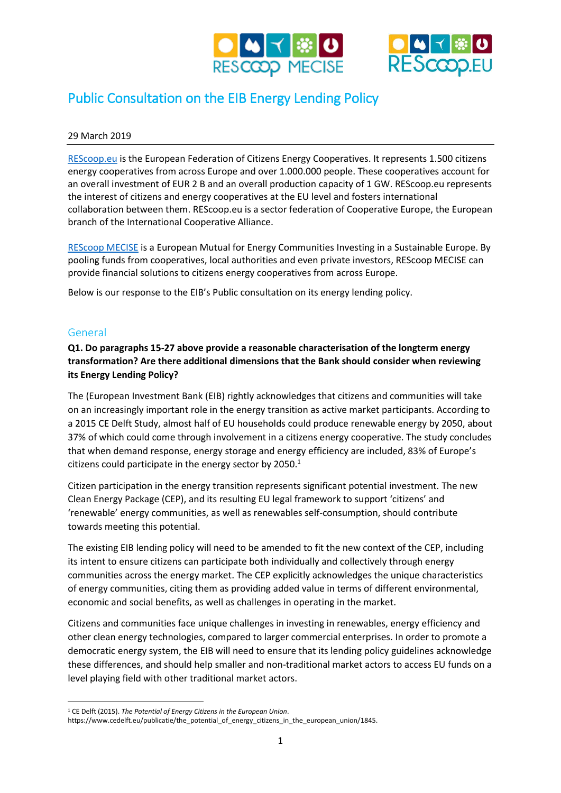



# Public Consultation on the EIB Energy Lending Policy

#### 29 March 2019

[REScoop.eu](http://www.rescoop.eu/) is the European Federation of Citizens Energy Cooperatives. It represents 1.500 citizens energy cooperatives from across Europe and over 1.000.000 people. These cooperatives account for an overall investment of EUR 2 B and an overall production capacity of 1 GW. REScoop.eu represents the interest of citizens and energy cooperatives at the EU level and fosters international collaboration between them. REScoop.eu is a sector federation of Cooperative Europe, the European branch of the International Cooperative Alliance.

[REScoop MECISE](http://www.rescoop-mecise.eu/) is a European Mutual for Energy Communities Investing in a Sustainable Europe. By pooling funds from cooperatives, local authorities and even private investors, REScoop MECISE can provide financial solutions to citizens energy cooperatives from across Europe.

Below is our response to the EIB's Public consultation on its energy lending policy.

#### General

 $\overline{a}$ 

## **Q1. Do paragraphs 15-27 above provide a reasonable characterisation of the longterm energy transformation? Are there additional dimensions that the Bank should consider when reviewing its Energy Lending Policy?**

The (European Investment Bank (EIB) rightly acknowledges that citizens and communities will take on an increasingly important role in the energy transition as active market participants. According to a 2015 CE Delft Study, almost half of EU households could produce renewable energy by 2050, about 37% of which could come through involvement in a citizens energy cooperative. The study concludes that when demand response, energy storage and energy efficiency are included, 83% of Europe's citizens could participate in the energy sector by  $2050.<sup>1</sup>$ 

Citizen participation in the energy transition represents significant potential investment. The new Clean Energy Package (CEP), and its resulting EU legal framework to support 'citizens' and 'renewable' energy communities, as well as renewables self-consumption, should contribute towards meeting this potential.

The existing EIB lending policy will need to be amended to fit the new context of the CEP, including its intent to ensure citizens can participate both individually and collectively through energy communities across the energy market. The CEP explicitly acknowledges the unique characteristics of energy communities, citing them as providing added value in terms of different environmental, economic and social benefits, as well as challenges in operating in the market.

Citizens and communities face unique challenges in investing in renewables, energy efficiency and other clean energy technologies, compared to larger commercial enterprises. In order to promote a democratic energy system, the EIB will need to ensure that its lending policy guidelines acknowledge these differences, and should help smaller and non-traditional market actors to access EU funds on a level playing field with other traditional market actors.

<sup>1</sup> CE Delft (2015). *The Potential of Energy Citizens in the European Union*.

https://www.cedelft.eu/publicatie/the\_potential\_of\_energy\_citizens\_in\_the\_european\_union/1845.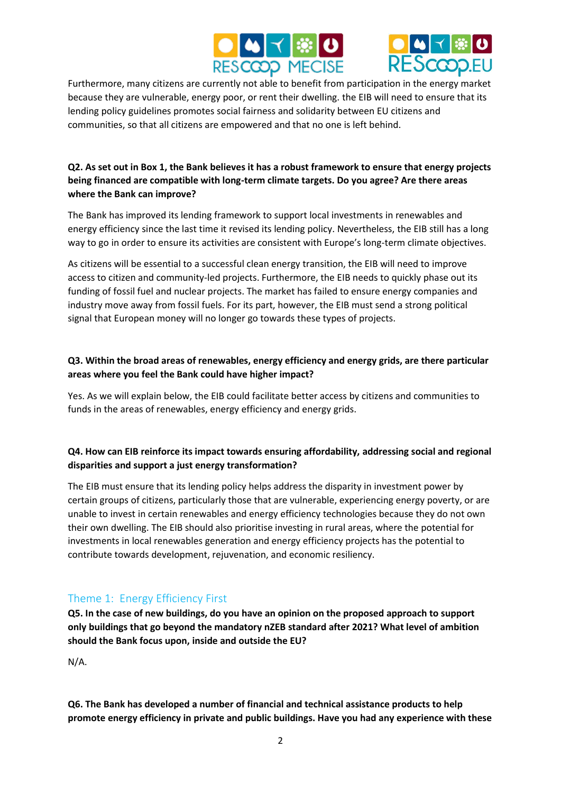



Furthermore, many citizens are currently not able to benefit from participation in the energy market because they are vulnerable, energy poor, or rent their dwelling. the EIB will need to ensure that its lending policy guidelines promotes social fairness and solidarity between EU citizens and communities, so that all citizens are empowered and that no one is left behind.

## **Q2. As set out in Box 1, the Bank believes it has a robust framework to ensure that energy projects being financed are compatible with long-term climate targets. Do you agree? Are there areas where the Bank can improve?**

The Bank has improved its lending framework to support local investments in renewables and energy efficiency since the last time it revised its lending policy. Nevertheless, the EIB still has a long way to go in order to ensure its activities are consistent with Europe's long-term climate objectives.

As citizens will be essential to a successful clean energy transition, the EIB will need to improve access to citizen and community-led projects. Furthermore, the EIB needs to quickly phase out its funding of fossil fuel and nuclear projects. The market has failed to ensure energy companies and industry move away from fossil fuels. For its part, however, the EIB must send a strong political signal that European money will no longer go towards these types of projects.

#### **Q3. Within the broad areas of renewables, energy efficiency and energy grids, are there particular areas where you feel the Bank could have higher impact?**

Yes. As we will explain below, the EIB could facilitate better access by citizens and communities to funds in the areas of renewables, energy efficiency and energy grids.

## **Q4. How can EIB reinforce its impact towards ensuring affordability, addressing social and regional disparities and support a just energy transformation?**

The EIB must ensure that its lending policy helps address the disparity in investment power by certain groups of citizens, particularly those that are vulnerable, experiencing energy poverty, or are unable to invest in certain renewables and energy efficiency technologies because they do not own their own dwelling. The EIB should also prioritise investing in rural areas, where the potential for investments in local renewables generation and energy efficiency projects has the potential to contribute towards development, rejuvenation, and economic resiliency.

## Theme 1: Energy Efficiency First

**Q5. In the case of new buildings, do you have an opinion on the proposed approach to support only buildings that go beyond the mandatory nZEB standard after 2021? What level of ambition should the Bank focus upon, inside and outside the EU?**

N/A.

**Q6. The Bank has developed a number of financial and technical assistance products to help promote energy efficiency in private and public buildings. Have you had any experience with these**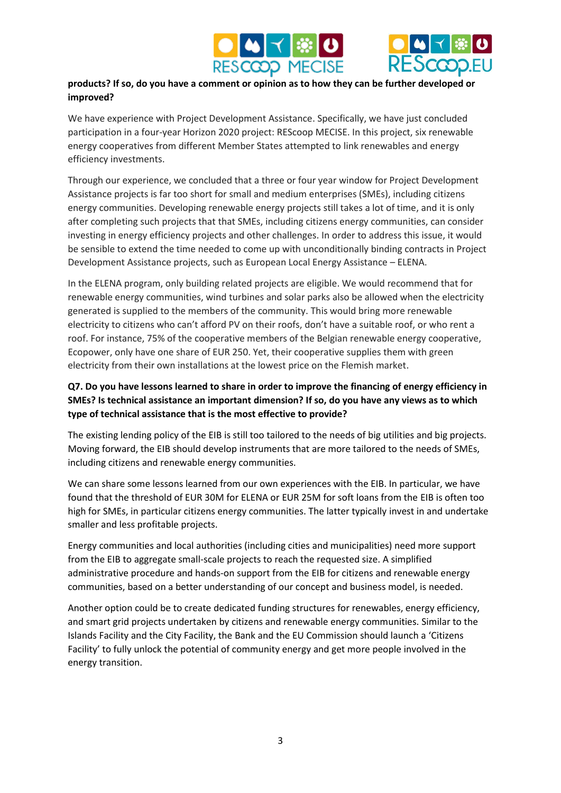



#### **products? If so, do you have a comment or opinion as to how they can be further developed or improved?**

We have experience with Project Development Assistance. Specifically, we have just concluded participation in a four-year Horizon 2020 project: REScoop MECISE. In this project, six renewable energy cooperatives from different Member States attempted to link renewables and energy efficiency investments.

Through our experience, we concluded that a three or four year window for Project Development Assistance projects is far too short for small and medium enterprises (SMEs), including citizens energy communities. Developing renewable energy projects still takes a lot of time, and it is only after completing such projects that that SMEs, including citizens energy communities, can consider investing in energy efficiency projects and other challenges. In order to address this issue, it would be sensible to extend the time needed to come up with unconditionally binding contracts in Project Development Assistance projects, such as European Local Energy Assistance – ELENA.

In the ELENA program, only building related projects are eligible. We would recommend that for renewable energy communities, wind turbines and solar parks also be allowed when the electricity generated is supplied to the members of the community. This would bring more renewable electricity to citizens who can't afford PV on their roofs, don't have a suitable roof, or who rent a roof. For instance, 75% of the cooperative members of the Belgian renewable energy cooperative, Ecopower, only have one share of EUR 250. Yet, their cooperative supplies them with green electricity from their own installations at the lowest price on the Flemish market.

## **Q7. Do you have lessons learned to share in order to improve the financing of energy efficiency in SMEs? Is technical assistance an important dimension? If so, do you have any views as to which type of technical assistance that is the most effective to provide?**

The existing lending policy of the EIB is still too tailored to the needs of big utilities and big projects. Moving forward, the EIB should develop instruments that are more tailored to the needs of SMEs, including citizens and renewable energy communities.

We can share some lessons learned from our own experiences with the EIB. In particular, we have found that the threshold of EUR 30M for ELENA or EUR 25M for soft loans from the EIB is often too high for SMEs, in particular citizens energy communities. The latter typically invest in and undertake smaller and less profitable projects.

Energy communities and local authorities (including cities and municipalities) need more support from the EIB to aggregate small-scale projects to reach the requested size. A simplified administrative procedure and hands-on support from the EIB for citizens and renewable energy communities, based on a better understanding of our concept and business model, is needed.

Another option could be to create dedicated funding structures for renewables, energy efficiency, and smart grid projects undertaken by citizens and renewable energy communities. Similar to the Islands Facility and the City Facility, the Bank and the EU Commission should launch a 'Citizens Facility' to fully unlock the potential of community energy and get more people involved in the energy transition.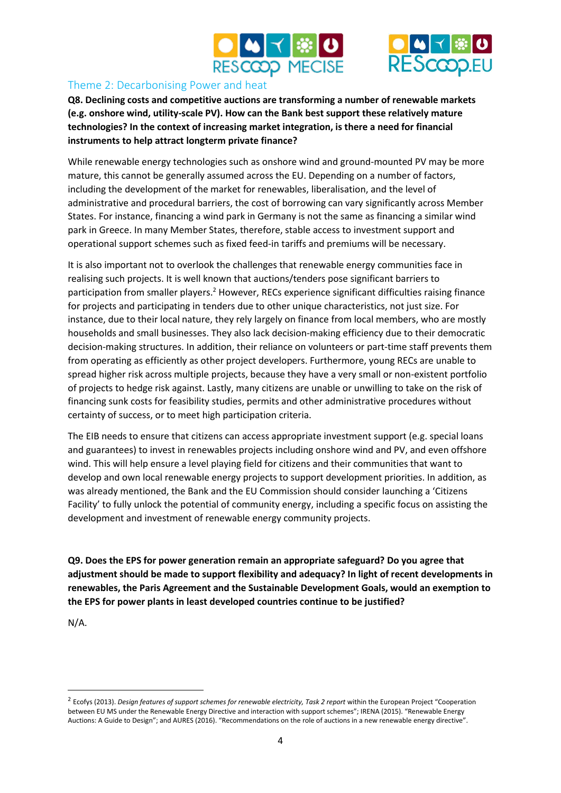



## Theme 2: Decarbonising Power and heat

**Q8. Declining costs and competitive auctions are transforming a number of renewable markets (e.g. onshore wind, utility-scale PV). How can the Bank best support these relatively mature technologies? In the context of increasing market integration, is there a need for financial instruments to help attract longterm private finance?**

While renewable energy technologies such as onshore wind and ground-mounted PV may be more mature, this cannot be generally assumed across the EU. Depending on a number of factors, including the development of the market for renewables, liberalisation, and the level of administrative and procedural barriers, the cost of borrowing can vary significantly across Member States. For instance, financing a wind park in Germany is not the same as financing a similar wind park in Greece. In many Member States, therefore, stable access to investment support and operational support schemes such as fixed feed-in tariffs and premiums will be necessary.

It is also important not to overlook the challenges that renewable energy communities face in realising such projects. It is well known that auctions/tenders pose significant barriers to participation from smaller players.<sup>2</sup> However, RECs experience significant difficulties raising finance for projects and participating in tenders due to other unique characteristics, not just size. For instance, due to their local nature, they rely largely on finance from local members, who are mostly households and small businesses. They also lack decision-making efficiency due to their democratic decision-making structures. In addition, their reliance on volunteers or part-time staff prevents them from operating as efficiently as other project developers. Furthermore, young RECs are unable to spread higher risk across multiple projects, because they have a very small or non-existent portfolio of projects to hedge risk against. Lastly, many citizens are unable or unwilling to take on the risk of financing sunk costs for feasibility studies, permits and other administrative procedures without certainty of success, or to meet high participation criteria.

The EIB needs to ensure that citizens can access appropriate investment support (e.g. special loans and guarantees) to invest in renewables projects including onshore wind and PV, and even offshore wind. This will help ensure a level playing field for citizens and their communities that want to develop and own local renewable energy projects to support development priorities. In addition, as was already mentioned, the Bank and the EU Commission should consider launching a 'Citizens Facility' to fully unlock the potential of community energy, including a specific focus on assisting the development and investment of renewable energy community projects.

**Q9. Does the EPS for power generation remain an appropriate safeguard? Do you agree that adjustment should be made to support flexibility and adequacy? In light of recent developments in renewables, the Paris Agreement and the Sustainable Development Goals, would an exemption to the EPS for power plants in least developed countries continue to be justified?**

N/A.

**.** 

<sup>&</sup>lt;sup>2</sup> Ecofys (2013). *Design features of support schemes for renewable electricity, Task 2 report within the European Project "Cooperation* between EU MS under the Renewable Energy Directive and interaction with support schemes"; IRENA (2015). "Renewable Energy Auctions: A Guide to Design"; and AURES (2016). "Recommendations on the role of auctions in a new renewable energy directive".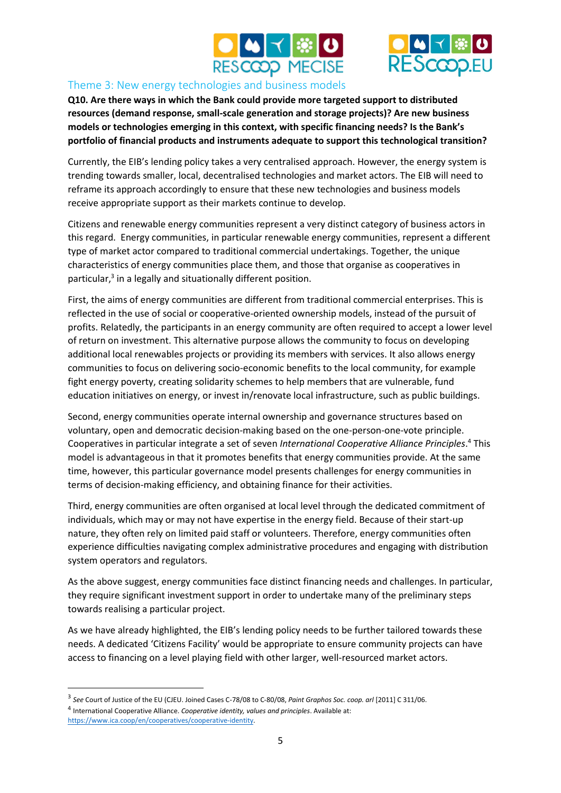



#### Theme 3: New energy technologies and business models

**Q10. Are there ways in which the Bank could provide more targeted support to distributed resources (demand response, small-scale generation and storage projects)? Are new business models or technologies emerging in this context, with specific financing needs? Is the Bank's portfolio of financial products and instruments adequate to support this technological transition?**

Currently, the EIB's lending policy takes a very centralised approach. However, the energy system is trending towards smaller, local, decentralised technologies and market actors. The EIB will need to reframe its approach accordingly to ensure that these new technologies and business models receive appropriate support as their markets continue to develop.

Citizens and renewable energy communities represent a very distinct category of business actors in this regard. Energy communities, in particular renewable energy communities, represent a different type of market actor compared to traditional commercial undertakings. Together, the unique characteristics of energy communities place them, and those that organise as cooperatives in particular,<sup>3</sup> in a legally and situationally different position.

First, the aims of energy communities are different from traditional commercial enterprises. This is reflected in the use of social or cooperative-oriented ownership models, instead of the pursuit of profits. Relatedly, the participants in an energy community are often required to accept a lower level of return on investment. This alternative purpose allows the community to focus on developing additional local renewables projects or providing its members with services. It also allows energy communities to focus on delivering socio-economic benefits to the local community, for example fight energy poverty, creating solidarity schemes to help members that are vulnerable, fund education initiatives on energy, or invest in/renovate local infrastructure, such as public buildings.

Second, energy communities operate internal ownership and governance structures based on voluntary, open and democratic decision-making based on the one-person-one-vote principle. Cooperatives in particular integrate a set of seven *International Cooperative Alliance Principles*. <sup>4</sup> This model is advantageous in that it promotes benefits that energy communities provide. At the same time, however, this particular governance model presents challenges for energy communities in terms of decision-making efficiency, and obtaining finance for their activities.

Third, energy communities are often organised at local level through the dedicated commitment of individuals, which may or may not have expertise in the energy field. Because of their start-up nature, they often rely on limited paid staff or volunteers. Therefore, energy communities often experience difficulties navigating complex administrative procedures and engaging with distribution system operators and regulators.

As the above suggest, energy communities face distinct financing needs and challenges. In particular, they require significant investment support in order to undertake many of the preliminary steps towards realising a particular project.

As we have already highlighted, the EIB's lending policy needs to be further tailored towards these needs. A dedicated 'Citizens Facility' would be appropriate to ensure community projects can have access to financing on a level playing field with other larger, well-resourced market actors.

 $\overline{a}$ 

<sup>3</sup> *See* Court of Justice of the EU (CJEU. Joined Cases C-78/08 to C-80/08, *Paint Graphos Soc. coop. arl* [2011] C 311/06. 4 International Cooperative Alliance. *Cooperative identity, values and principles*. Available at: [https://www.ica.coop/en/cooperatives/cooperative-identity.](https://www.ica.coop/en/cooperatives/cooperative-identity)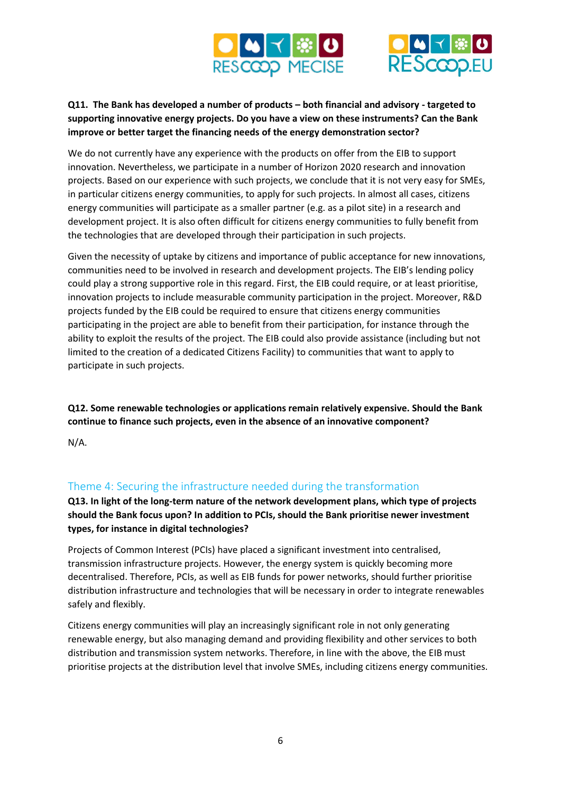



## **Q11. The Bank has developed a number of products – both financial and advisory - targeted to supporting innovative energy projects. Do you have a view on these instruments? Can the Bank improve or better target the financing needs of the energy demonstration sector?**

We do not currently have any experience with the products on offer from the EIB to support innovation. Nevertheless, we participate in a number of Horizon 2020 research and innovation projects. Based on our experience with such projects, we conclude that it is not very easy for SMEs, in particular citizens energy communities, to apply for such projects. In almost all cases, citizens energy communities will participate as a smaller partner (e.g. as a pilot site) in a research and development project. It is also often difficult for citizens energy communities to fully benefit from the technologies that are developed through their participation in such projects.

Given the necessity of uptake by citizens and importance of public acceptance for new innovations, communities need to be involved in research and development projects. The EIB's lending policy could play a strong supportive role in this regard. First, the EIB could require, or at least prioritise, innovation projects to include measurable community participation in the project. Moreover, R&D projects funded by the EIB could be required to ensure that citizens energy communities participating in the project are able to benefit from their participation, for instance through the ability to exploit the results of the project. The EIB could also provide assistance (including but not limited to the creation of a dedicated Citizens Facility) to communities that want to apply to participate in such projects.

**Q12. Some renewable technologies or applications remain relatively expensive. Should the Bank continue to finance such projects, even in the absence of an innovative component?**

N/A.

# Theme 4: Securing the infrastructure needed during the transformation

**Q13. In light of the long-term nature of the network development plans, which type of projects should the Bank focus upon? In addition to PCIs, should the Bank prioritise newer investment types, for instance in digital technologies?**

Projects of Common Interest (PCIs) have placed a significant investment into centralised, transmission infrastructure projects. However, the energy system is quickly becoming more decentralised. Therefore, PCIs, as well as EIB funds for power networks, should further prioritise distribution infrastructure and technologies that will be necessary in order to integrate renewables safely and flexibly.

Citizens energy communities will play an increasingly significant role in not only generating renewable energy, but also managing demand and providing flexibility and other services to both distribution and transmission system networks. Therefore, in line with the above, the EIB must prioritise projects at the distribution level that involve SMEs, including citizens energy communities.